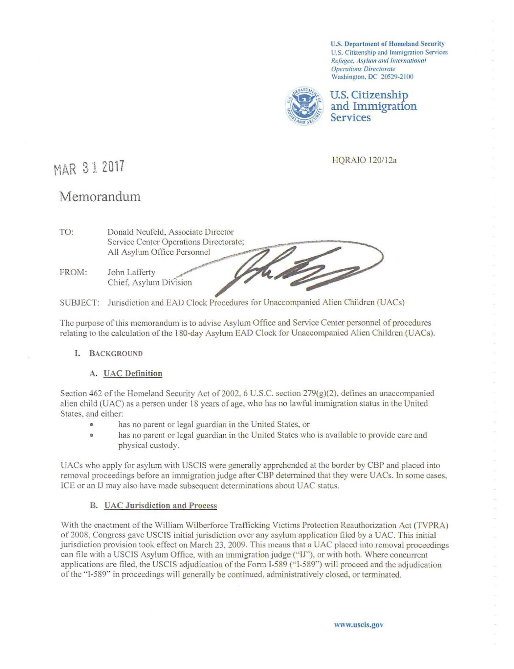**U.S. Department of Homeland Security** U.S. Citizenship and Immigration Services Refugee, Asylum and International **Operations Directorate** Washington, DC 20529-2100



**U.S. Citizenship** and Immigration **Services** 

**HORAIO 120/12a** 

# MAR 31 2017

# Memorandum

| TO:   | Donald Neufeld, Associate Director<br>Service Center Operations Directorate; |  |  |  |  |  |
|-------|------------------------------------------------------------------------------|--|--|--|--|--|
|       | All Asylum Office Personnel                                                  |  |  |  |  |  |
| FROM: | John Lafferty<br>Chief, Asylum Division                                      |  |  |  |  |  |

SUBJECT: Jurisdiction and EAD Clock Procedures for Unaccompanied Alien Children (UACs)

The purpose of this memorandum is to advise Asylum Office and Service Center personnel of procedures relating to the calculation of the 180-day Asylum EAD Clock for Unaccompanied Alien Children (UACs).

# I. BACKGROUND

#### A. UAC Definition

Section 462 of the Homeland Security Act of 2002, 6 U.S.C. section 279(g)(2), defines an unaccompanied alien child (UAC) as a person under 18 years of age, who has no lawful immigration status in the United States, and either:

- has no parent or legal guardian in the United States, or
- has no parent or legal guardian in the United States who is available to provide care and  $\bullet$ physical custody.

UACs who apply for asylum with USCIS were generally apprehended at the border by CBP and placed into removal proceedings before an immigration judge after CBP determined that they were UACs. In some cases, ICE or an IJ may also have made subsequent determinations about UAC status.

# **B.** UAC Jurisdiction and Process

With the enactment of the William Wilberforce Trafficking Victims Protection Reauthorization Act (TVPRA) of 2008, Congress gave USCIS initial jurisdiction over any asylum application filed by a UAC. This initial jurisdiction provision took effect on March 23, 2009. This means that a UAC placed into removal proceedings can file with a USCIS Asylum Office, with an immigration judge ("IJ"), or with both. Where concurrent applications are filed, the USCIS adjudication of the Form I-589 ("I-589") will proceed and the adjudication of the "I-589" in proceedings will generally be continued, administratively closed, or terminated.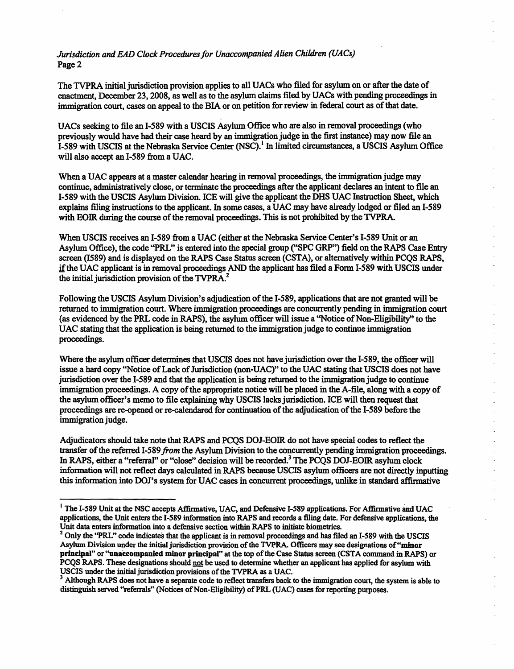*Jurisdiction and EAD Clock Procedures for Unaccompanied Alien Children (UACs)*  Page 2

The TVPRA initial jurisdiction provision applies to all UACs who filed for asylum on or after the date of enactment, December 23, 2008, as well as to the asylum claims filed by UACs with pending proceedings in immigration court, cases on appeal to the BIA or on petition for review in federal court as of that date.

UACs seeking to file an 1-589 with a USCIS Asylum Office who are also in removal proceedings (who previously would have had their case heard by an immigration judge in the first instance) may now file an 1-589 with USCIS at the Nebraska Service Center (NSC).<sup>1</sup> In limited circumstances, a USCIS Asylum Office will also accept an 1-589 from a UAC.

When a UAC appears at a master calendar hearing in removal proceedings, the immigration judge may continue, administratively close, or terminate the proceedings after the applicant declares an intent to file an 1-589 with the USCIS Asylum Division. ICE will give the applicant the DHS UAC Instruction Sheet, which explains filing instructions to the applicant. In some cases, a UAC may have already lodged or filed an 1-589 with EOIR during the course of the removal proceedings. This is not prohibited by the TVPRA.

When USCIS receives an 1-589 from a UAC (either at the Nebraska Service Center's 1-589 Unit or an Asylum Office), the code "PRL" is entered into the special group ("SPC GRP'') field on the RAPS Case Entry screen (1589) and is displayed on the RAPS Case Status screen (CSTA), or alternatively within PCQS RAPS, if the UAC applicant is in removal proceedings AND the applicant has filed a Form 1-589 with USCIS under the initial jurisdiction provision of the TVPRA.<sup>2</sup>

Following the USCIS Asylum Division's adjudication of the 1-589, applications that are not granted will be returned to immigration court. Where immigration proceedings are concurrently pending in immigration court (as evidenced by the PRL code in RAPS), the asylum officer will issue a "Notice of Non-Eligibility'' to the UAC stating that the application is being returned to the immigration judge to continue immigration proceedings.

Where the asylum officer determines that USCIS does not have jurisdiction over the 1-589, the officer will issue a hard copy "Notice of Lack of Jurisdiction (non-UAC)" to the UAC stating that USCIS does not have jurisdiction over the 1-589 and that the application is being returned to the immigration judge to continue immigration proceedings. A copy of the appropriate notice will be placed in the A-file, along with a copy of the asylum officer's memo to file explaining why USCIS lacks jurisdiction. ICE will then request that proceedings are re-opened or re-calendared for continuation of the adjudication of the 1-589 before the immigration judge.

Adjudicators should take note that RAPS and PCQS DOJ-EOIR do not have special codes to reflect the transfer of the referred I-589 *from* the Asylum Division to the concurrently pending immigration proceedings. In RAPS, either a "referral" or "close" decision will be recorded.<sup>3</sup> The PCQS DOJ-EOIR asylum clock information will not reflect days calculated in RAPS because USCIS asylum officers are not directly inputting this information into DOJ's system for UAC cases in concurrent proceedings, unlike in standard affirmative

<sup>&</sup>lt;sup>1</sup> The I-589 Unit at the NSC accepts Affirmative, UAC, and Defensive I-589 applications. For Affirmative and UAC applications, the Unit enters the 1-589 information into RAPS and records a filing date. For defensive applications, the

<sup>&</sup>lt;sup>2</sup> Only the "PRL" code indicates that the applicant is in removal proceedings and has filed an I-589 with the USCIS Asylum Division under the initial jurisdiction provision of the TVPRA. Officers may see designations of"mlnor principal" or "unaccompanied minor principal" at the top of the Case Status screen (CSTA command in RAPS) or PCQS RAPS. These designations should not be used to determine whether an applicant has applied for asylum with US CIS under the initial jurisdiction provisions of the TVPRA as a UAC.

<sup>&</sup>lt;sup>3</sup> Although RAPS does not have a separate code to reflect transfers back to the immigration court, the system is able to distinguish served "referrals" (Notices of Non-Eligibility) of PRL (UAC) cases for reporting purposes.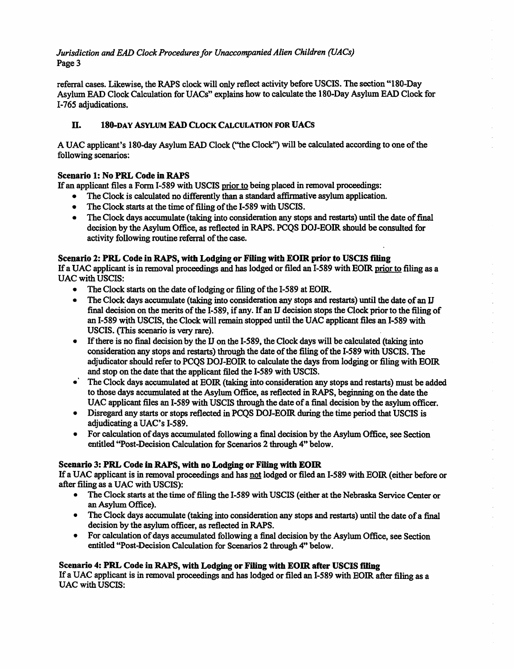*Jurisdiction and EAD Clock Procedures for Unaccompanied Alien Children (UACs)*  Page 3

referral cases. Likewise, the RAPS clock will only reflect activity before USCIS. The section "180-Day Asylum EAD Clock Calculation for UACs" explains how to calculate the 180-Day Asylum EAD Clock for 1-765 adjudications.

# ll. 180-DAY AsYLUM EAD CLOCK CALCULATION FOR UACS

A UAC applicant's 180-day Asylum EAD Clock ("the Clock") will be calculated according to one of the following scenarios:

# Scenario 1: No PRL Code in RAPS

If an applicant files a Form 1-589 with USCIS prior to being placed in removal proceedings:

- The Clock is calculated no differently than a standard affirmative asylum application.
- The Clock starts at the time of filing of the 1-589 with USCIS.
- The Clock days accumulate (taking into consideration any stops and restarts) until the date of final decision by the Asylum Office, as reflected in RAPS. PCQS DOJ-EOIR should be consulted for activity following routine referral of the case.

### Scenario 2: PRL Code in RAPS, with Lodging or Filing with EOIR prior to USCIS filing

If a UAC applicant is in removal proceedings and has lodged or filed an I-589 with EOIR prior to filing as a UAC with USCIS:

- The Clock starts on the date of lodging or filing of the I-589 at EOIR.
- The Clock days accumulate (taking into consideration any stops and restarts) until the date of an IJ final decision on the merits of the 1-589, if any. If an II decision stops the Clock prior to the filing of an 1-589 with USCIS, the Clock will remain stopped until the UAC applicant files an 1-589 with USCIS. (This scenario is very rare).
- If there is no final decision by the IJ on the I-589, the Clock days will be calculated (taking into consideration any stops and restarts) through the date of the filing of the 1-589 with USCIS. The adjudicator should refer to PCOS DOJ-EOIR to calculate the days from lodging or filing with EOIR and stop on the date that the applicant filed the 1-589 with USCIS.
- The Clock days accumulated at EOIR (taking into consideration any stops and restarts) must be added to those days accumulated at the Asylum Office, as reflected in RAPS, beginning on the date the UAC applicant files an I-589 with USCIS through the date of a final decision by the asylum officer.
- Disregard any starts or stops reflected in PCQS DOJ-EOIR during the time period that USCIS is adjudicating a UAC's 1-589.
- For calculation of days accumulated following a final decision by the Asylum Office, see Section entitled ''Post-Decision Calculation for Scenarios 2 through 4" below.

#### Scenario 3: PRL Code in RAPS, with no Lodging or Filing with EOIR

If a UAC applicant is in removal proceedings and has not lodged or filed an I-589 with EOIR (either before or after filing as a UAC with USCIS):

- The Clock starts at the time of filing the 1-589 with USCIS (either at the Nebraska Service Center or an Asylum Office).
- The Clock days accumulate (taking into consideration any stops and restarts) until the date of a final decision by the asylum officer, as reflected in RAPS.
- For calculation of days accumulated following a final decision by the Asylum Office, see Section entitled "Post-Decision Calculation for Scenarios 2 through 4" below.

#### Scenario 4: PRL Code in RAPS, with Lodging or Filing with EOIR after USCIS riling

If a UAC applicant is in removal proceedings and has lodged or filed an I-589 with EOIR after filing as a UAC with USCIS: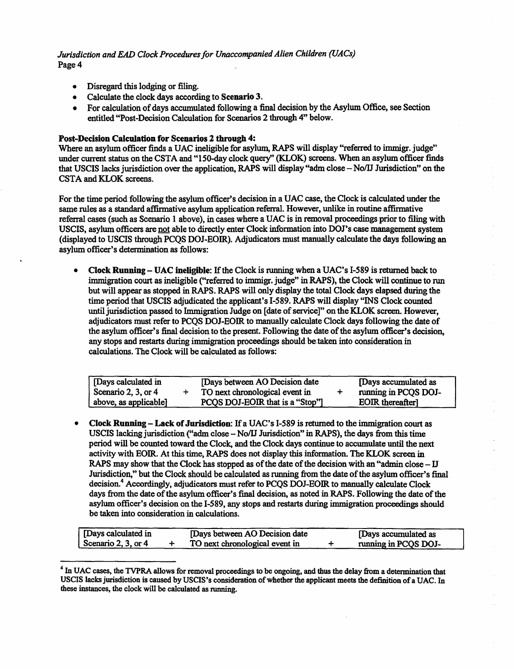*Jurisdiction and EAD Clock Procedures for Unaccompanied Alien Children (UACs)*  Page 4

- Disregard this lodging or filing.
- Calculate the clock days according to Scenario 3.
- For calculation of days accumulated following a final decision by the Asylum Office, see Section entitled "Post-Decision Calculation for Scenarios 2 through 4" below.

#### Post-Decision Calculation for Scenarios 2 through 4:

Where an asylum officer finds a UAC ineligible for asylwn, RAPS will display "referred to immigr. judge" under current status on the CSTA and "150-day clock query" (KLOK) screens. When an asylum officer finds that USCIS lacks jurisdiction over the application, RAPS will display "adm close - No/IJ Jurisdiction" on the CSTA and KLOK screens.

For the time period following the asylum officer's decision in a UAC case, the Clock is calculated under the same rules as a standard affinnative asylum application referral. However, unlike in routine affirmative referral cases (such as Scenario 1 above), in cases where a UAC is in removal proceedings prior to filing with USCIS, asylum officers are not able to directly enter Clock information into DOJ's case management system (displayed to USCIS through PCQS DOJ-EOIR.). Adjudicators must manually calculate the days following an asylum officer's determination as follows:

• Clock Running- UAC ineligible: If the Clock is running when a UAC's 1-589 is returned back to immigration cowt as ineligible ("referred to immigr. judge" in RAPS), the Clock will continue to run but will appear as stopped in RAPS. RAPS will only display the total Clock days elapsed during the time period that USCIS adjudicated the applicant's 1-589. RAPS will display "INS Clock counted until jurisdiction passed to Immigration Judge on [date of service]" on the KLOK screen. However, adjudicators must refer to PCQS DOJ-EOIR to manually calculate Clock days following the date of the asylum officer's final decision to the present. Following the date of the asylum officer's decision, any stops and restarts during immigration proceedings should be taken into consideration in calculations. The Clock will be calculated as follows:

| Days calculated in<br>Days between AO Decision date<br>Scenario 2, 3, or 4<br>TO next chronological event in<br>PCQS DOJ-EOIR that is a "Stop"]<br>above, as applicable] |  | [Days accumulated as<br>running in PCQS DOJ-<br><b>EOIR</b> thereafter |
|--------------------------------------------------------------------------------------------------------------------------------------------------------------------------|--|------------------------------------------------------------------------|
|--------------------------------------------------------------------------------------------------------------------------------------------------------------------------|--|------------------------------------------------------------------------|

• Clock Running- Lack of Jurisdiction: If a UAC's 1-589 is returned to the immigration court as USCIS lacking jurisdiction ("adm. close - No/U Jurisdiction" in RAPS), the days from this time period will be counted toward the Clock, and the Clock days continue to accumulate until the next activity with EOIR. At this time, RAPS does not display this information. The KLOK screen in RAPS may show that the Clock has stopped as of the date of the decision with an "admin close- IJ Jurisdiction," but the Clock should be calculated as running from the date of the asylum officer's final decision.<sup>4</sup> Accordingly, adjudicators must refer to PCOS DOJ-EOIR to manually calculate Clock days from the date of the asylum officer's final decision, as noted in RAPS. Following the date of the asylum officer's decision on the I-589, any stops and restarts during immigration proceedings should be taken into consideration in calculations.

| [Days calculated in   | [Days between AO Decision date] | [Days accumulated as |
|-----------------------|---------------------------------|----------------------|
| Scenario 2, 3, or $4$ | TO next chronological event in  | running in PCQS DOJ- |

<sup>&</sup>lt;sup>4</sup> In UAC cases, the TVPRA allows for removal proceedings to be ongoing, and thus the delay from a determination that USCIS lacks jurisdiction is caused by USCIS's consideration of whether the applicant meets the definition of a UAC.In these instances, the clock will be calculated as running.